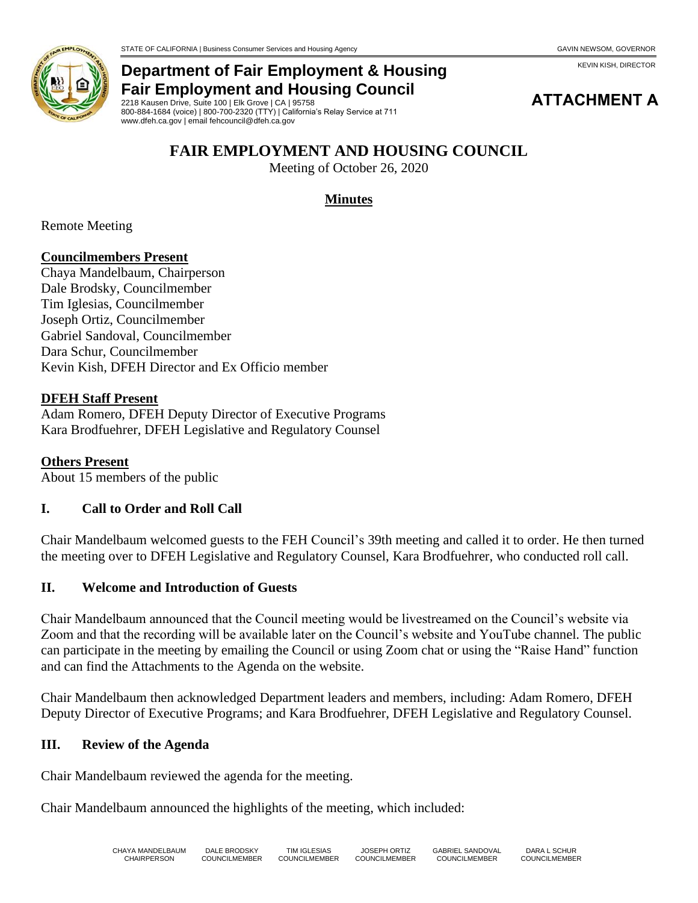**ATTACHMENT A**

KEVIN KISH, DIRECTOR



### **Department of Fair Employment & Housing Fair Employment and Housing Council**

2218 Kausen Drive, Suite 100 | Elk Grove | CA | 95758 800-884-1684 (voice) | 800-700-2320 (TTY) | California's Relay Service at 711 www.dfeh.ca.gov | email fehcouncil@dfeh.ca.gov

# **FAIR EMPLOYMENT AND HOUSING COUNCIL**

Meeting of October 26, 2020

### **Minutes**

Remote Meeting

#### **Councilmembers Present**

Chaya Mandelbaum, Chairperson Dale Brodsky, Councilmember Tim Iglesias, Councilmember Joseph Ortiz, Councilmember Gabriel Sandoval, Councilmember Dara Schur, Councilmember Kevin Kish, DFEH Director and Ex Officio member

#### **DFEH Staff Present**

Adam Romero, DFEH Deputy Director of Executive Programs Kara Brodfuehrer, DFEH Legislative and Regulatory Counsel

**Others Present** About 15 members of the public

#### **I. Call to Order and Roll Call**

Chair Mandelbaum welcomed guests to the FEH Council's 39th meeting and called it to order. He then turned the meeting over to DFEH Legislative and Regulatory Counsel, Kara Brodfuehrer, who conducted roll call.

#### **II. Welcome and Introduction of Guests**

Chair Mandelbaum announced that the Council meeting would be livestreamed on the Council's website via Zoom and that the recording will be available later on the Council's website and YouTube channel. The public can participate in the meeting by emailing the Council or using Zoom chat or using the "Raise Hand" function and can find the Attachments to the Agenda on the website.

Chair Mandelbaum then acknowledged Department leaders and members, including: Adam Romero, DFEH Deputy Director of Executive Programs; and Kara Brodfuehrer, DFEH Legislative and Regulatory Counsel.

#### **III. Review of the Agenda**

Chair Mandelbaum reviewed the agenda for the meeting.

Chair Mandelbaum announced the highlights of the meeting, which included: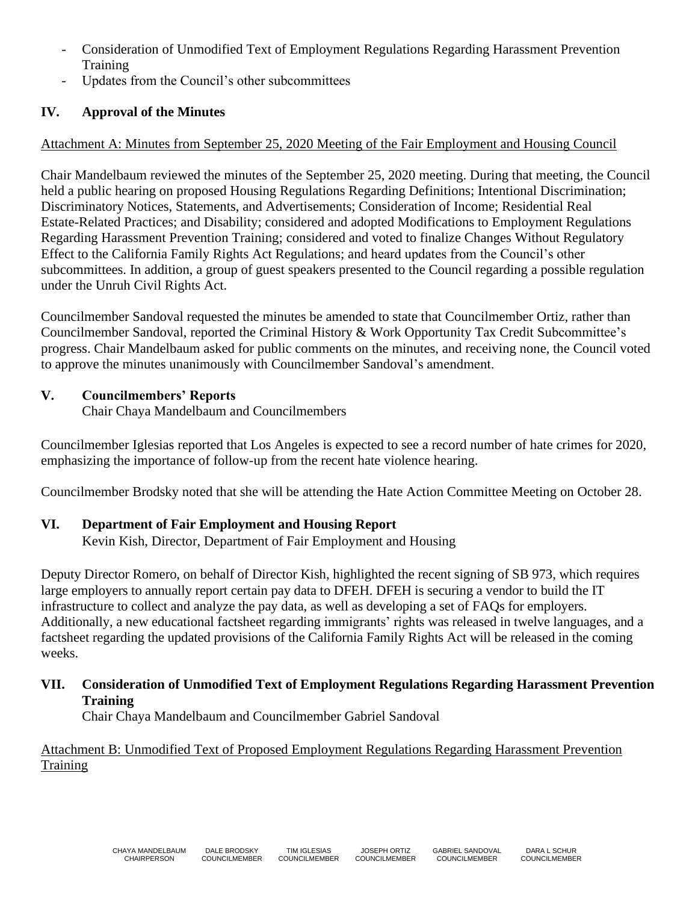- Consideration of Unmodified Text of Employment Regulations Regarding Harassment Prevention Training
- Updates from the Council's other subcommittees

# **IV. Approval of the Minutes**

### Attachment A: Minutes from September 25, 2020 Meeting of the Fair Employment and Housing Council

Chair Mandelbaum reviewed the minutes of the September 25, 2020 meeting. During that meeting, the Council held a public hearing on proposed Housing Regulations Regarding Definitions; Intentional Discrimination; Discriminatory Notices, Statements, and Advertisements; Consideration of Income; Residential Real Estate-Related Practices; and Disability; considered and adopted Modifications to Employment Regulations Regarding Harassment Prevention Training; considered and voted to finalize Changes Without Regulatory Effect to the California Family Rights Act Regulations; and heard updates from the Council's other subcommittees. In addition, a group of guest speakers presented to the Council regarding a possible regulation under the Unruh Civil Rights Act.

Councilmember Sandoval requested the minutes be amended to state that Councilmember Ortiz, rather than Councilmember Sandoval, reported the Criminal History & Work Opportunity Tax Credit Subcommittee's progress. Chair Mandelbaum asked for public comments on the minutes, and receiving none, the Council voted to approve the minutes unanimously with Councilmember Sandoval's amendment.

### **V. Councilmembers' Reports**

Chair Chaya Mandelbaum and Councilmembers

Councilmember Iglesias reported that Los Angeles is expected to see a record number of hate crimes for 2020, emphasizing the importance of follow-up from the recent hate violence hearing.

Councilmember Brodsky noted that she will be attending the Hate Action Committee Meeting on October 28.

## **VI. Department of Fair Employment and Housing Report**

Kevin Kish, Director, Department of Fair Employment and Housing

Deputy Director Romero, on behalf of Director Kish, highlighted the recent signing of SB 973, which requires large employers to annually report certain pay data to DFEH. DFEH is securing a vendor to build the IT infrastructure to collect and analyze the pay data, as well as developing a set of FAQs for employers. Additionally, a new educational factsheet regarding immigrants' rights was released in twelve languages, and a factsheet regarding the updated provisions of the California Family Rights Act will be released in the coming weeks.

### **VII. Consideration of Unmodified Text of Employment Regulations Regarding Harassment Prevention Training**

Chair Chaya Mandelbaum and Councilmember Gabriel Sandoval

Attachment B: Unmodified Text of Proposed Employment Regulations Regarding Harassment Prevention **Training**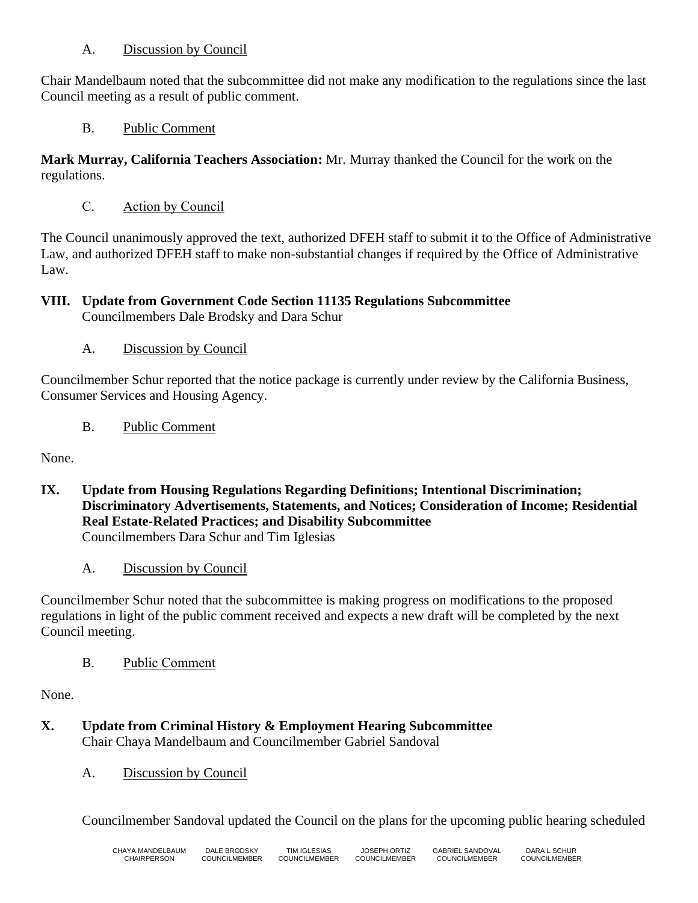#### A. Discussion by Council

Chair Mandelbaum noted that the subcommittee did not make any modification to the regulations since the last Council meeting as a result of public comment.

B. Public Comment

**Mark Murray, California Teachers Association:** Mr. Murray thanked the Council for the work on the regulations.

C. Action by Council

The Council unanimously approved the text, authorized DFEH staff to submit it to the Office of Administrative Law, and authorized DFEH staff to make non-substantial changes if required by the Office of Administrative Law.

**VIII. Update from Government Code Section 11135 Regulations Subcommittee**

Councilmembers Dale Brodsky and Dara Schur

A. Discussion by Council

Councilmember Schur reported that the notice package is currently under review by the California Business, Consumer Services and Housing Agency.

B. Public Comment

None.

- **IX. Update from Housing Regulations Regarding Definitions; Intentional Discrimination; Discriminatory Advertisements, Statements, and Notices; Consideration of Income; Residential Real Estate-Related Practices; and Disability Subcommittee** Councilmembers Dara Schur and Tim Iglesias
	- A. Discussion by Council

Councilmember Schur noted that the subcommittee is making progress on modifications to the proposed regulations in light of the public comment received and expects a new draft will be completed by the next Council meeting.

B. Public Comment

None.

- **X. Update from Criminal History & Employment Hearing Subcommittee** Chair Chaya Mandelbaum and Councilmember Gabriel Sandoval
	- A. Discussion by Council

Councilmember Sandoval updated the Council on the plans for the upcoming public hearing scheduled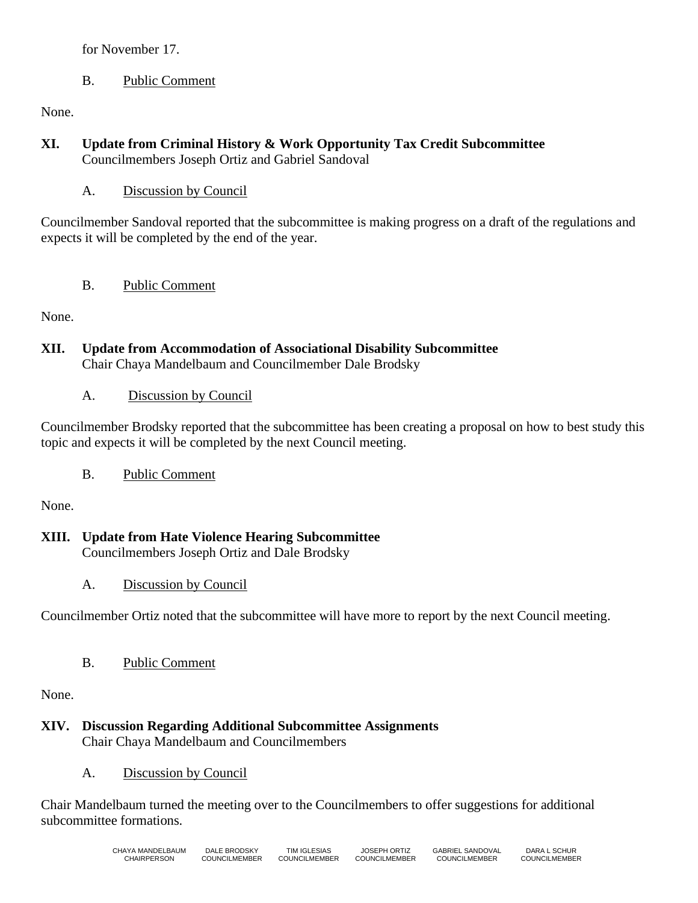#### for November 17.

### B. Public Comment

None.

#### **XI. Update from Criminal History & Work Opportunity Tax Credit Subcommittee** Councilmembers Joseph Ortiz and Gabriel Sandoval

A. Discussion by Council

Councilmember Sandoval reported that the subcommittee is making progress on a draft of the regulations and expects it will be completed by the end of the year.

B. Public Comment

None.

- **XII. Update from Accommodation of Associational Disability Subcommittee** Chair Chaya Mandelbaum and Councilmember Dale Brodsky
	- A. Discussion by Council

Councilmember Brodsky reported that the subcommittee has been creating a proposal on how to best study this topic and expects it will be completed by the next Council meeting.

B. Public Comment

None.

**XIII. Update from Hate Violence Hearing Subcommittee**

Councilmembers Joseph Ortiz and Dale Brodsky

A. Discussion by Council

Councilmember Ortiz noted that the subcommittee will have more to report by the next Council meeting.

B. Public Comment

None.

- **XIV. Discussion Regarding Additional Subcommittee Assignments** Chair Chaya Mandelbaum and Councilmembers
	- A. Discussion by Council

Chair Mandelbaum turned the meeting over to the Councilmembers to offer suggestions for additional subcommittee formations.